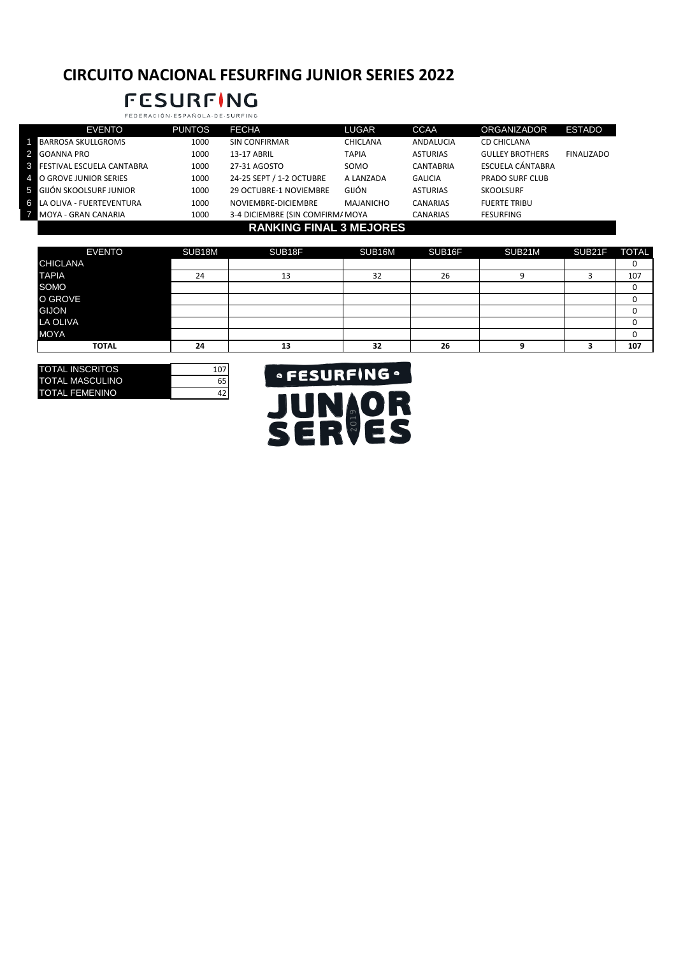### **CIRCUITO NACIONAL FESURFING JUNIOR SERIES 2022**

### **FESURFING** FEDERACIÓN·ESPAÑOLA·DE·SURFING

| <b>EVENTO</b>                      | <b>PUNTOS</b> | <b>FECHA</b>                     | <b>LUGAR</b>     | <b>CCAA</b>      | <b>ORGANIZADOR</b>     | <b>ESTADO</b>     |
|------------------------------------|---------------|----------------------------------|------------------|------------------|------------------------|-------------------|
| <b>BARROSA SKULLGROMS</b>          | 1000          | <b>SIN CONFIRMAR</b>             | <b>CHICLANA</b>  | ANDALUCIA        | <b>CD CHICLANA</b>     |                   |
| <b>2</b> GOANNA PRO                | 1000          | 13-17 ABRIL                      | <b>TAPIA</b>     | <b>ASTURIAS</b>  | <b>GULLEY BROTHERS</b> | <b>FINALIZADO</b> |
| <b>8</b> FESTIVAL ESCUELA CANTABRA | 1000          | 27-31 AGOSTO                     | SOMO             | <b>CANTABRIA</b> | ESCUELA CÁNTABRA       |                   |
| 4 O GROVE JUNIOR SERIES            | 1000          | 24-25 SEPT / 1-2 OCTUBRE         | A LANZADA        | <b>GALICIA</b>   | <b>PRADO SURF CLUB</b> |                   |
| <b>5</b> GIJÓN SKOOLSURF JUNIOR    | 1000          | 29 OCTUBRE-1 NOVIEMBRE           | GIJÓN            | <b>ASTURIAS</b>  | <b>SKOOLSURF</b>       |                   |
| <b>6 LA OLIVA - FUERTEVENTURA</b>  | 1000          | NOVIEMBRE-DICIEMBRE              | <b>MAJANICHO</b> | <b>CANARIAS</b>  | <b>FUERTE TRIBU</b>    |                   |
| <b>7 MOYA - GRAN CANARIA</b>       | 1000          | 3-4 DICIEMBRE (SIN COMFIRM/ MOYA |                  | <b>CANARIAS</b>  | <b>FESURFING</b>       |                   |
|                                    |               | <b>RANKING FINAL 3 MEJORES</b>   |                  |                  |                        |                   |

| <b>EVENTO</b>   | SUB18M | SUB18F | SUB16M | SUB16F | SUB21M | SUB21F | <b>TOTAL</b> |
|-----------------|--------|--------|--------|--------|--------|--------|--------------|
| <b>CHICLANA</b> |        |        |        |        |        |        |              |
| <b>TAPIA</b>    | 24     | 13     | 32     | 26     |        |        | 107          |
| SOMO            |        |        |        |        |        |        |              |
| O GROVE         |        |        |        |        |        |        |              |
| <b>GIJON</b>    |        |        |        |        |        |        |              |
| <b>LA OLIVA</b> |        |        |        |        |        |        |              |
| <b>MOYA</b>     |        |        |        |        |        |        |              |
| <b>TOTAL</b>    | 24     | 13     | 32     | 26     | o      |        | 107          |

| <b>TOTAL INSCRITOS</b> | 107 |
|------------------------|-----|
| <b>TOTAL MASCULINO</b> |     |
| <b>TOTAL FEMENINO</b>  |     |

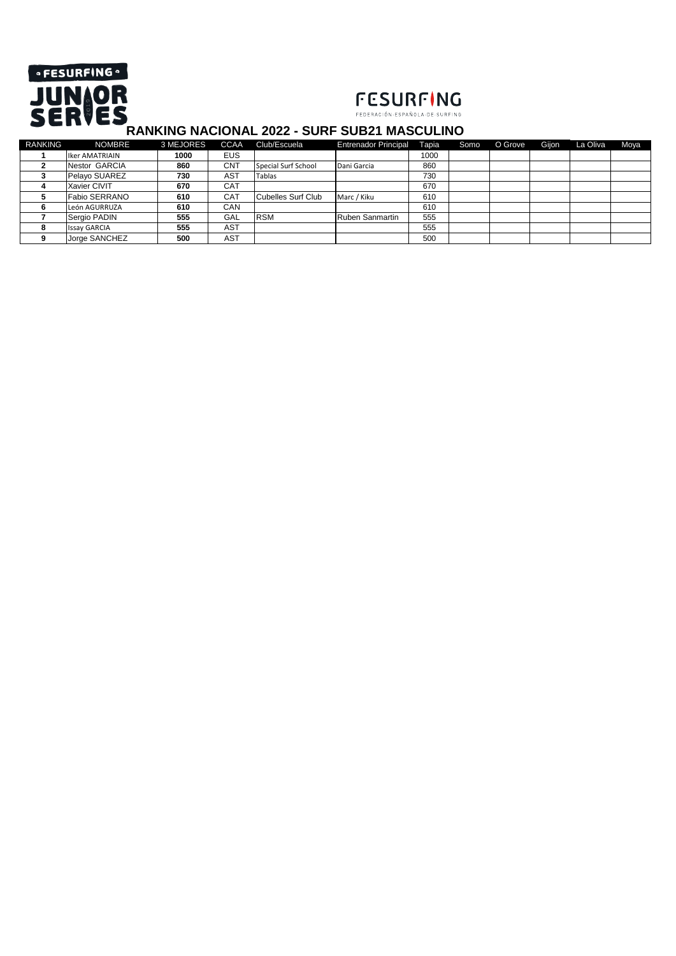



#### **RANKING NACIONAL 2022 - SURF SUB21 MASCULINO**

| <b>RANKING</b> | <b>NOMBRE</b>         | 3 MEJORES | <b>CCAA</b> | Club/Escuela        | <b>Entrenador Principal</b> | Tapia | Somo | O Grove | Gijon | La Oliva | <b>Moya</b> |
|----------------|-----------------------|-----------|-------------|---------------------|-----------------------------|-------|------|---------|-------|----------|-------------|
|                | <b>Iker AMATRIAIN</b> | 1000      | <b>EUS</b>  |                     |                             | 1000  |      |         |       |          |             |
|                | Nestor GARCIA         | 860       | <b>CNT</b>  | Special Surf School | Dani Garcia                 | 860   |      |         |       |          |             |
|                | Pelayo SUAREZ         | 730       | AST         | Tablas              |                             | 730   |      |         |       |          |             |
|                | Xavier CIVIT          | 670       | <b>CAT</b>  |                     |                             | 670   |      |         |       |          |             |
|                | Fabio SERRANO         | 610       | <b>CAT</b>  | Cubelles Surf Club  | Marc / Kiku                 | 610   |      |         |       |          |             |
|                | León AGURRUZA         | 610       | CAN         |                     |                             | 610   |      |         |       |          |             |
|                | Sergio PADIN          | 555       | GAL         | <b>RSM</b>          | <b>Ruben Sanmartin</b>      | 555   |      |         |       |          |             |
|                | <b>Issay GARCIA</b>   | 555       | AST         |                     |                             | 555   |      |         |       |          |             |
|                | Jorge SANCHEZ         | 500       | AST         |                     |                             | 500   |      |         |       |          |             |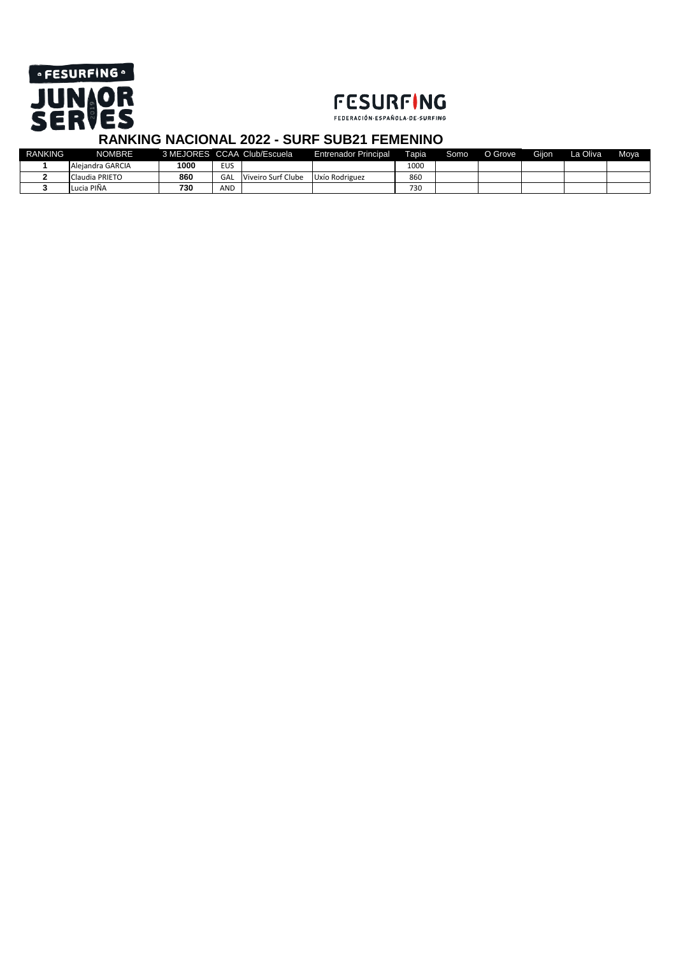

### **FESURFING**

FEDERACIÓN ESPAÑOLA DE SURFING

| <b>RANKING</b> | <b>NOMBRE</b>    |      |            | 3 MEJORES CCAA Club/Escuela | <b>Entrenador Principal</b> | Tapia | Somo | O Grove | Giion | La Oliva | <b>Mova</b> |
|----------------|------------------|------|------------|-----------------------------|-----------------------------|-------|------|---------|-------|----------|-------------|
|                | Aleiandra GARCIA | 1000 | <b>EUS</b> |                             |                             | 1000  |      |         |       |          |             |
|                | Claudia PRIETO   | 860  | GAL        | Viveiro Surf Clube          | Uxío Rodriguez              | 860   |      |         |       |          |             |
|                | Lucia PIÑA       | 730  | AND        |                             |                             | 730   |      |         |       |          |             |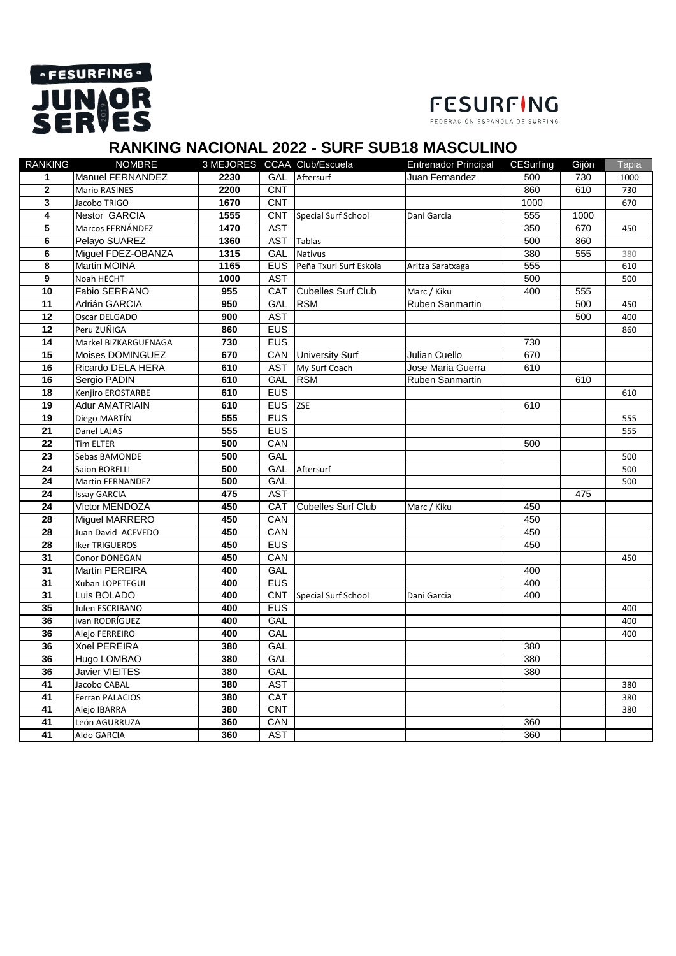# **• FESURFING JUNIOR**



FEDERACIÓN-ESPAÑOLA-DE-SURFING

### **RANKING NACIONAL 2022 - SURF SUB18 MASCULINO**

| <b>RANKING</b>  | <b>NOMBRE</b>           |                  |            | 3 MEJORES CCAA Club/Escuela | <b>Entrenador Principal</b> | CESurfing | Gijón | Tapia |
|-----------------|-------------------------|------------------|------------|-----------------------------|-----------------------------|-----------|-------|-------|
| 1               | Manuel FERNANDEZ        | 2230             | GAL        | Aftersurf                   | Juan Fernandez              | 500       | 730   | 1000  |
| $\mathbf{2}$    | Mario RASINES           | 2200             | <b>CNT</b> |                             |                             | 860       | 610   | 730   |
| 3               | Jacobo TRIGO            | 1670             | <b>CNT</b> |                             |                             | 1000      |       | 670   |
| 4               | <b>Nestor GARCIA</b>    | 1555             | <b>CNT</b> | <b>Special Surf School</b>  | Dani Garcia                 | 555       | 1000  |       |
| 5               | Marcos FERNÁNDEZ        | 1470             | <b>AST</b> |                             |                             | 350       | 670   | 450   |
| 6               | Pelayo SUAREZ           | 1360             | <b>AST</b> | <b>Tablas</b>               |                             | 500       | 860   |       |
| 6               | Miguel FDEZ-OBANZA      | $\frac{1}{1315}$ | <b>GAL</b> | <b>Nativus</b>              |                             | 380       | 555   | 380   |
| 8               | Martin MOINA            | 1165             | <b>EUS</b> | Peña Txuri Surf Eskola      | Aritza Saratxaga            | 555       |       | 610   |
| 9               | Noah HECHT              | 1000             | <b>AST</b> |                             |                             | 500       |       | 500   |
| 10              | Fabio SERRANO           | 955              | CAT        | <b>Cubelles Surf Club</b>   | Marc / Kiku                 | 400       | 555   |       |
| 11              | Adrián GARCIA           | 950              | <b>GAL</b> | <b>RSM</b>                  | Ruben Sanmartin             |           | 500   | 450   |
| 12              | Oscar DELGADO           | 900              | <b>AST</b> |                             |                             |           | 500   | 400   |
| 12              | Peru ZUÑIGA             | 860              | <b>EUS</b> |                             |                             |           |       | 860   |
| 14              | Markel BIZKARGUENAGA    | 730              | <b>EUS</b> |                             |                             | 730       |       |       |
| 15              | Moises DOMINGUEZ        | 670              | CAN        | <b>University Surf</b>      | Julian Cuello               | 670       |       |       |
| 16              | Ricardo DELA HERA       | 610              | <b>AST</b> | My Surf Coach               | Jose Maria Guerra           | 610       |       |       |
| 16              | Sergio PADIN            | 610              | <b>GAL</b> | <b>RSM</b>                  | <b>Ruben Sanmartin</b>      |           | 610   |       |
| 18              | Kenjiro EROSTARBE       | 610              | <b>EUS</b> |                             |                             |           |       | 610   |
| 19              | <b>Adur AMATRIAIN</b>   | 610              | <b>EUS</b> | <b>ZSE</b>                  |                             | 610       |       |       |
| 19              | Diego MARTÍN            | 555              | <b>EUS</b> |                             |                             |           |       | 555   |
| 21              | Danel LAJAS             | 555              | <b>EUS</b> |                             |                             |           |       | 555   |
| $\overline{22}$ | Tim ELTER               | 500              | CAN        |                             |                             | 500       |       |       |
| 23              | Sebas BAMONDE           | 500              | GAL        |                             |                             |           |       | 500   |
| 24              | <b>Saion BORELLI</b>    | 500              | <b>GAL</b> | Aftersurf                   |                             |           |       | 500   |
| 24              | <b>Martin FERNANDEZ</b> | 500              | GAL        |                             |                             |           |       | 500   |
| 24              | Issay GARCIA            | 475              | <b>AST</b> |                             |                             |           | 475   |       |
| 24              | Víctor MENDOZA          | 450              | CAT        | <b>Cubelles Surf Club</b>   | Marc / Kiku                 | 450       |       |       |
| 28              | <b>Miguel MARRERO</b>   | 450              | CAN        |                             |                             | 450       |       |       |
| 28              | Juan David ACEVEDO      | 450              | CAN        |                             |                             | 450       |       |       |
| 28              | <b>Iker TRIGUEROS</b>   | 450              | <b>EUS</b> |                             |                             | 450       |       |       |
| 31              | Conor DONEGAN           | 450              | CAN        |                             |                             |           |       | 450   |
| 31              | Martín PEREIRA          | 400              | GAL        |                             |                             | 400       |       |       |
| 31              | Xuban LOPETEGUI         | 400              | <b>EUS</b> |                             |                             | 400       |       |       |
| $\overline{31}$ | Luis BOLADO             | 400              | <b>CNT</b> | Special Surf School         | Dani Garcia                 | 400       |       |       |
| 35              | Julen ESCRIBANO         | 400              | <b>EUS</b> |                             |                             |           |       | 400   |
| 36              | Ivan RODRÍGUEZ          | 400              | GAL        |                             |                             |           |       | 400   |
| 36              | Alejo FERREIRO          | 400              | GAL        |                             |                             |           |       | 400   |
| 36              | <b>Xoel PEREIRA</b>     | 380              | <b>GAL</b> |                             |                             | 380       |       |       |
| 36              | Hugo LOMBAO             | 380              | GAL        |                             |                             | 380       |       |       |
| 36              | <b>Javier VIEITES</b>   | 380              | <b>GAL</b> |                             |                             | 380       |       |       |
| 41              | Jacobo CABAL            | 380              | <b>AST</b> |                             |                             |           |       | 380   |
| 41              | Ferran PALACIOS         | 380              | <b>CAT</b> |                             |                             |           |       | 380   |
| 41              | Alejo IBARRA            | 380              | <b>CNT</b> |                             |                             |           |       | 380   |
| 41              | León AGURRUZA           | 360              | CAN        |                             |                             | 360       |       |       |
| 41              | Aldo GARCIA             | 360              | <b>AST</b> |                             |                             | 360       |       |       |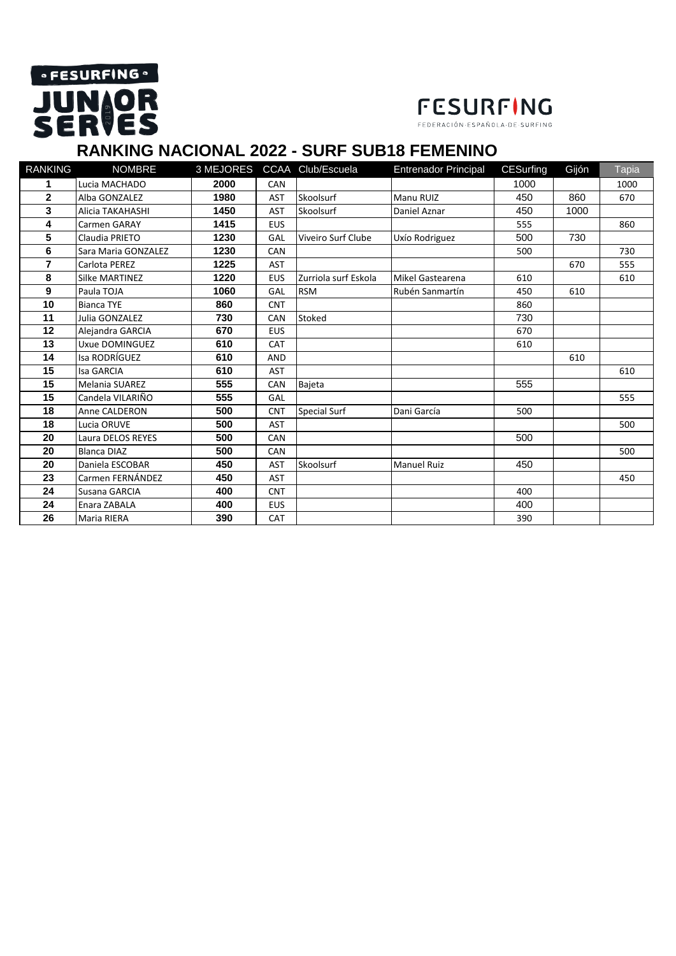# **• FESURFING JUNIOR**<br>SERVES

## **FESURFING**

FEDERACIÓN·ESPAÑOLA·DE·SURFING

### **RANKING NACIONAL 2022 - SURF SUB18 FEMENINO**

| <b>RANKING</b> | <b>NOMBRE</b>         |      |            | 3 MEJORES CCAA Club/Escuela | <b>Entrenador Principal</b> | <b>CESurfing</b> | Gijón | Tapia |
|----------------|-----------------------|------|------------|-----------------------------|-----------------------------|------------------|-------|-------|
| 1              | Lucia MACHADO         | 2000 | CAN        |                             |                             | 1000             |       | 1000  |
| $\mathbf{2}$   | Alba GONZALEZ         | 1980 | <b>AST</b> | Skoolsurf                   | Manu RUIZ                   | 450              | 860   | 670   |
| 3              | Alicia TAKAHASHI      | 1450 | <b>AST</b> | Skoolsurf                   | Daniel Aznar                | 450              | 1000  |       |
| 4              | Carmen GARAY          | 1415 | <b>EUS</b> |                             |                             | 555              |       | 860   |
| 5              | Claudia PRIETO        | 1230 | GAL        | Viveiro Surf Clube          | Uxío Rodriguez              | 500              | 730   |       |
| 6              | Sara Maria GONZALEZ   | 1230 | CAN        |                             |                             | 500              |       | 730   |
| $\overline{7}$ | Carlota PEREZ         | 1225 | <b>AST</b> |                             |                             |                  | 670   | 555   |
| 8              | Silke MARTINEZ        | 1220 | <b>EUS</b> | Zurriola surf Eskola        | Mikel Gastearena            | 610              |       | 610   |
| 9              | Paula TOJA            | 1060 | GAL        | <b>RSM</b>                  | Rubén Sanmartín             | 450              | 610   |       |
| 10             | <b>Bianca TYE</b>     | 860  | <b>CNT</b> |                             |                             | 860              |       |       |
| 11             | Julia GONZALEZ        | 730  | CAN        | Stoked                      |                             | 730              |       |       |
| 12             | Alejandra GARCIA      | 670  | <b>EUS</b> |                             |                             | 670              |       |       |
| 13             | Uxue DOMINGUEZ        | 610  | <b>CAT</b> |                             |                             | 610              |       |       |
| 14             | Isa RODRÍGUEZ         | 610  | <b>AND</b> |                             |                             |                  | 610   |       |
| 15             | <b>Isa GARCIA</b>     | 610  | <b>AST</b> |                             |                             |                  |       | 610   |
| 15             | <b>Melania SUAREZ</b> | 555  | <b>CAN</b> | Bajeta                      |                             | 555              |       |       |
| 15             | Candela VILARIÑO      | 555  | GAL        |                             |                             |                  |       | 555   |
| 18             | Anne CALDERON         | 500  | <b>CNT</b> | Special Surf                | Dani García                 | 500              |       |       |
| 18             | Lucia ORUVE           | 500  | <b>AST</b> |                             |                             |                  |       | 500   |
| 20             | Laura DELOS REYES     | 500  | CAN        |                             |                             | 500              |       |       |
| 20             | <b>Blanca DIAZ</b>    | 500  | CAN        |                             |                             |                  |       | 500   |
| 20             | Daniela ESCOBAR       | 450  | <b>AST</b> | Skoolsurf                   | <b>Manuel Ruiz</b>          | 450              |       |       |
| 23             | Carmen FERNÁNDEZ      | 450  | <b>AST</b> |                             |                             |                  |       | 450   |
| 24             | Susana GARCIA         | 400  | <b>CNT</b> |                             |                             | 400              |       |       |
| 24             | Enara ZABALA          | 400  | <b>EUS</b> |                             |                             | 400              |       |       |
| 26             | Maria RIERA           | 390  | <b>CAT</b> |                             |                             | 390              |       |       |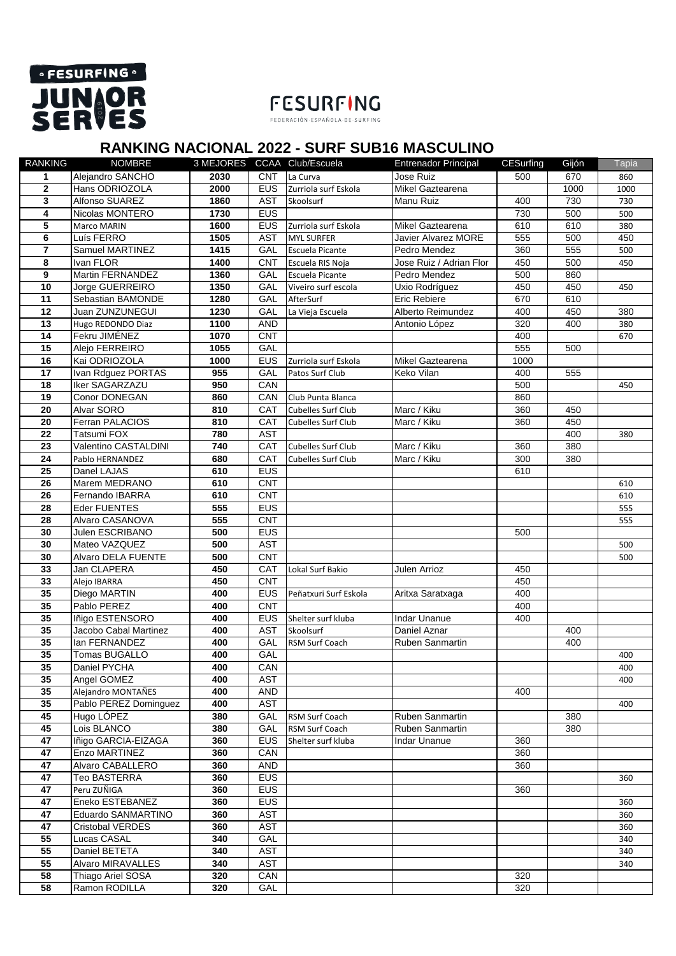

# **FESURFING**

### **RANKING NACIONAL 2022 - SURF SUB16 MASCULINO**

| <b>RANKING</b> | <b>NOMBRE</b>         |      |            | 3 MEJORES CCAA Club/Escuela | <b>Entrenador Principal</b> | <b>CESurfing</b> | Gijón | Tapia |
|----------------|-----------------------|------|------------|-----------------------------|-----------------------------|------------------|-------|-------|
| 1              | Alejandro SANCHO      | 2030 | <b>CNT</b> | La Curva                    | Jose Ruiz                   | 500              | 670   | 860   |
| $\mathbf{2}$   | Hans ODRIOZOLA        | 2000 | <b>EUS</b> | Zurriola surf Eskola        | Mikel Gaztearena            |                  | 1000  | 1000  |
| 3              | Alfonso SUAREZ        | 1860 | <b>AST</b> | Skoolsurf                   | Manu Ruiz                   | 400              | 730   | 730   |
| 4              | Nicolas MONTERO       | 1730 | <b>EUS</b> |                             |                             | 730              | 500   | 500   |
| 5              | Marco MARIN           | 1600 | <b>EUS</b> | Zurriola surf Eskola        | Mikel Gaztearena            | 610              | 610   | 380   |
| 6              | Luís FERRO            | 1505 | <b>AST</b> | <b>MYL SURFER</b>           | <b>Javier Alvarez MORE</b>  | 555              | 500   | 450   |
| $\overline{7}$ | Samuel MARTINEZ       | 1415 | GAL        | Escuela Picante             | Pedro Mendez                | 360              | 555   | 500   |
| 8              | Ivan FLOR             | 1400 | <b>CNT</b> | Escuela RIS Noja            | Jose Ruiz / Adrian Flor     | 450              | 500   | 450   |
| 9              | Martin FERNANDEZ      | 1360 | GAL        | Escuela Picante             | Pedro Mendez                | 500              | 860   |       |
| 10             | Jorge GUERREIRO       | 1350 | GAL        | Viveiro surf escola         | Uxio Rodríguez              | 450              | 450   | 450   |
| 11             | Sebastian BAMONDE     | 1280 | GAL        | AfterSurf                   | Eric Rebiere                | 670              | 610   |       |
| 12             | Juan ZUNZUNEGUI       | 1230 | GAL        | La Vieja Escuela            | Alberto Reimundez           | 400              | 450   | 380   |
| 13             | Hugo REDONDO Diaz     | 1100 | <b>AND</b> |                             | Antonio López               | 320              | 400   | 380   |
| 14             | Fekru JIMÉNEZ         | 1070 | <b>CNT</b> |                             |                             | 400              |       | 670   |
| 15             | Alejo FERREIRO        | 1055 | GAL        |                             |                             | 555              | 500   |       |
| 16             | Kai ODRIOZOLA         | 1000 | <b>EUS</b> | Zurriola surf Eskola        | Mikel Gaztearena            | 1000             |       |       |
| 17             | Ivan Rdguez PORTAS    | 955  | GAL        | Patos Surf Club             | Keko Vilan                  | 400              | 555   |       |
| 18             | Iker SAGARZAZU        | 950  | CAN        |                             |                             | 500              |       | 450   |
| 19             | <b>Conor DONEGAN</b>  | 860  | CAN        | Club Punta Blanca           |                             | 860              |       |       |
| 20             | Alvar SORO            | 810  | <b>CAT</b> | Cubelles Surf Club          | Marc / Kiku                 | 360              | 450   |       |
| 20             | Ferran PALACIOS       | 810  | CAT        | Cubelles Surf Club          | Marc / Kiku                 | 360              | 450   |       |
| 22             | Tatsumi FOX           | 780  | <b>AST</b> |                             |                             |                  | 400   | 380   |
| 23             | Valentino CASTALDINI  | 740  | CAT        | <b>Cubelles Surf Club</b>   | Marc / Kiku                 | 360              | 380   |       |
| 24             | Pablo HERNANDEZ       | 680  | CAT        | Cubelles Surf Club          | Marc / Kiku                 | 300              | 380   |       |
| 25             | Danel LAJAS           | 610  | <b>EUS</b> |                             |                             | 610              |       |       |
| 26             | Marem MEDRANO         | 610  | <b>CNT</b> |                             |                             |                  |       |       |
| 26             | Fernando IBARRA       | 610  | <b>CNT</b> |                             |                             |                  |       | 610   |
|                |                       |      |            |                             |                             |                  |       | 610   |
| 28             | Eder FUENTES          | 555  | <b>EUS</b> |                             |                             |                  |       | 555   |
| 28             | Alvaro CASANOVA       | 555  | <b>CNT</b> |                             |                             |                  |       | 555   |
| 30             | Julen ESCRIBANO       | 500  | <b>EUS</b> |                             |                             | 500              |       |       |
| 30             | Mateo VAZQUEZ         | 500  | <b>AST</b> |                             |                             |                  |       | 500   |
| 30             | Alvaro DELA FUENTE    | 500  | <b>CNT</b> |                             |                             |                  |       | 500   |
| 33             | Jan CLAPERA           | 450  | CAT        | Lokal Surf Bakio            | Julen Arrioz                | 450              |       |       |
| 33             | Alejo IBARRA          | 450  | <b>CNT</b> |                             |                             | 450              |       |       |
| 35             | Diego MARTIN          | 400  | <b>EUS</b> | Peñatxuri Surf Eskola       | Aritxa Saratxaga            | 400              |       |       |
| 35             | Pablo PEREZ           | 400  | <b>CNT</b> |                             |                             | 400              |       |       |
| 35             | Iñigo ESTENSORO       | 400  | <b>EUS</b> | Shelter surf kluba          | <b>Indar Unanue</b>         | 400              |       |       |
| 35             | Jacobo Cabal Martinez | 400  | <b>AST</b> | Skoolsurf                   | Daniel Aznar                |                  | 400   |       |
| 35             | lan FERNANDEZ         | 400  | GAL        | RSM Surf Coach              | Ruben Sanmartin             |                  | 400   |       |
| 35             | Tomas BUGALLO         | 400  | GAL        |                             |                             |                  |       | 400   |
| 35             | Daniel PYCHA          | 400  | CAN        |                             |                             |                  |       | 400   |
| 35             | Angel GOMEZ           | 400  | <b>AST</b> |                             |                             |                  |       | 400   |
| 35             | Alejandro MONTAÑES    | 400  | AND        |                             |                             | 400              |       |       |
| 35             | Pablo PEREZ Dominguez | 400  | <b>AST</b> |                             |                             |                  |       | 400   |
| 45             | Hugo LÓPEZ            | 380  | GAL        | RSM Surf Coach              | Ruben Sanmartin             |                  | 380   |       |
| 45             | Lois BLANCO           | 380  | GAL        | RSM Surf Coach              | Ruben Sanmartin             |                  | 380   |       |
| 47             | Iñigo GARCIA-EIZAGA   | 360  | <b>EUS</b> | Shelter surf kluba          | Indar Unanue                | 360              |       |       |
| 47             | Enzo MARTINEZ         | 360  | CAN        |                             |                             | 360              |       |       |
| 47             | Alvaro CABALLERO      | 360  | AND        |                             |                             | 360              |       |       |
| 47             | Teo BASTERRA          | 360  | <b>EUS</b> |                             |                             |                  |       | 360   |
| 47             | Peru ZUÑIGA           | 360  | <b>EUS</b> |                             |                             | 360              |       |       |
| 47             | Eneko ESTEBANEZ       | 360  | <b>EUS</b> |                             |                             |                  |       | 360   |
| 47             | Eduardo SANMARTINO    | 360  | <b>AST</b> |                             |                             |                  |       | 360   |
| 47             | Cristobal VERDES      | 360  | AST        |                             |                             |                  |       | 360   |
| 55             | Lucas CASAL           | 340  | GAL        |                             |                             |                  |       | 340   |
| 55             | Daniel BETETA         | 340  | <b>AST</b> |                             |                             |                  |       | 340   |
| 55             | Alvaro MIRAVALLES     | 340  | AST        |                             |                             |                  |       | 340   |
| 58             | Thiago Ariel SOSA     | 320  | CAN        |                             |                             | 320              |       |       |
| 58             | Ramon RODILLA         | 320  | GAL        |                             |                             | 320              |       |       |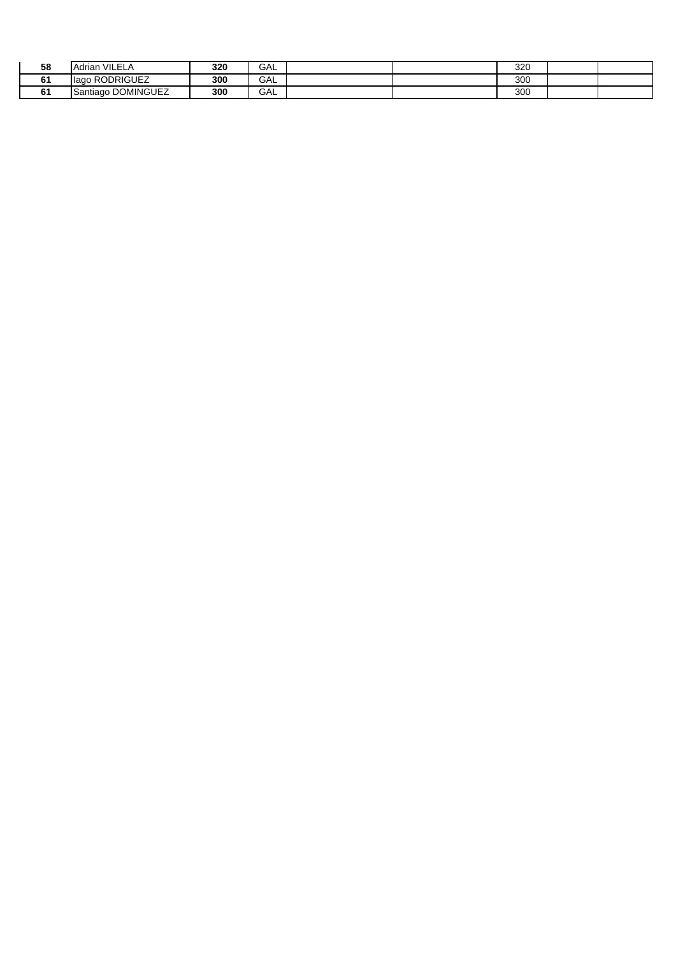| 58                 | VILELA<br><b>IAdrian</b>        | 320 | GAL |  | 000<br>320 |  |
|--------------------|---------------------------------|-----|-----|--|------------|--|
| $\mathbf{A}$<br>61 | <b>RODRIGUEZ</b><br><b>lago</b> | 300 | GAL |  | 200<br>300 |  |
| 61                 | Santiago DOMINGUEZ              | 300 | GAL |  | 200<br>ບບບ |  |